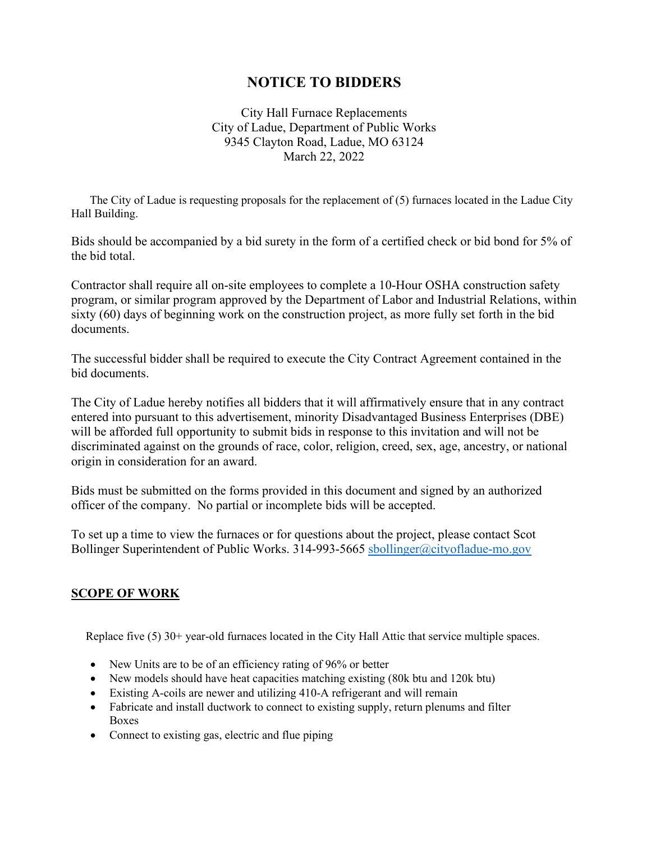# **NOTICE TO BIDDERS**

City Hall Furnace Replacements City of Ladue, Department of Public Works 9345 Clayton Road, Ladue, MO 63124 March 22, 2022

 The City of Ladue is requesting proposals for the replacement of (5) furnaces located in the Ladue City Hall Building.

Bids should be accompanied by a bid surety in the form of a certified check or bid bond for 5% of the bid total.

Contractor shall require all on-site employees to complete a 10-Hour OSHA construction safety program, or similar program approved by the Department of Labor and Industrial Relations, within sixty (60) days of beginning work on the construction project, as more fully set forth in the bid documents.

The successful bidder shall be required to execute the City Contract Agreement contained in the bid documents.

The City of Ladue hereby notifies all bidders that it will affirmatively ensure that in any contract entered into pursuant to this advertisement, minority Disadvantaged Business Enterprises (DBE) will be afforded full opportunity to submit bids in response to this invitation and will not be discriminated against on the grounds of race, color, religion, creed, sex, age, ancestry, or national origin in consideration for an award.

Bids must be submitted on the forms provided in this document and signed by an authorized officer of the company. No partial or incomplete bids will be accepted.

To set up a time to view the furnaces or for questions about the project, please contact Scot Bollinger Superintendent of Public Works. 314-993-5665 [sbollinger@cityofladue-mo.gov](mailto:sbollinger@cityofladue-mo.gov)

# **SCOPE OF WORK**

Replace five (5) 30+ year-old furnaces located in the City Hall Attic that service multiple spaces.

- New Units are to be of an efficiency rating of 96% or better
- New models should have heat capacities matching existing (80k btu and 120k btu)
- Existing A-coils are newer and utilizing 410-A refrigerant and will remain
- Fabricate and install ductwork to connect to existing supply, return plenums and filter Boxes
- Connect to existing gas, electric and flue piping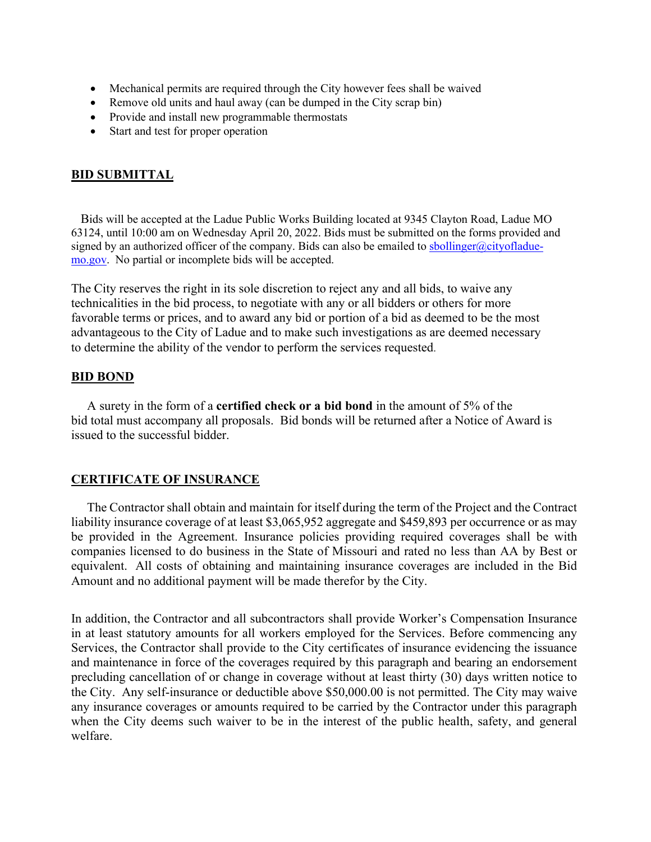- Mechanical permits are required through the City however fees shall be waived
- Remove old units and haul away (can be dumped in the City scrap bin)
- Provide and install new programmable thermostats
- Start and test for proper operation

# **BID SUBMITTAL**

 Bids will be accepted at the Ladue Public Works Building located at 9345 Clayton Road, Ladue MO 63124, until 10:00 am on Wednesday April 20, 2022. Bids must be submitted on the forms provided and signed by an authorized officer of the company. Bids can also be emailed to [sbollinger@cityofladue](mailto:sbollinger@cityofladue-mo.gov)[mo.gov.](mailto:sbollinger@cityofladue-mo.gov) No partial or incomplete bids will be accepted.

The City reserves the right in its sole discretion to reject any and all bids, to waive any technicalities in the bid process, to negotiate with any or all bidders or others for more favorable terms or prices, and to award any bid or portion of a bid as deemed to be the most advantageous to the City of Ladue and to make such investigations as are deemed necessary to determine the ability of the vendor to perform the services requested.

## **BID BOND**

 A surety in the form of a **certified check or a bid bond** in the amount of 5% of the bid total must accompany all proposals. Bid bonds will be returned after a Notice of Award is issued to the successful bidder.

## **CERTIFICATE OF INSURANCE**

 The Contractor shall obtain and maintain for itself during the term of the Project and the Contract liability insurance coverage of at least \$3,065,952 aggregate and \$459,893 per occurrence or as may be provided in the Agreement. Insurance policies providing required coverages shall be with companies licensed to do business in the State of Missouri and rated no less than AA by Best or equivalent. All costs of obtaining and maintaining insurance coverages are included in the Bid Amount and no additional payment will be made therefor by the City.

In addition, the Contractor and all subcontractors shall provide Worker's Compensation Insurance in at least statutory amounts for all workers employed for the Services. Before commencing any Services, the Contractor shall provide to the City certificates of insurance evidencing the issuance and maintenance in force of the coverages required by this paragraph and bearing an endorsement precluding cancellation of or change in coverage without at least thirty (30) days written notice to the City. Any self-insurance or deductible above \$50,000.00 is not permitted. The City may waive any insurance coverages or amounts required to be carried by the Contractor under this paragraph when the City deems such waiver to be in the interest of the public health, safety, and general welfare.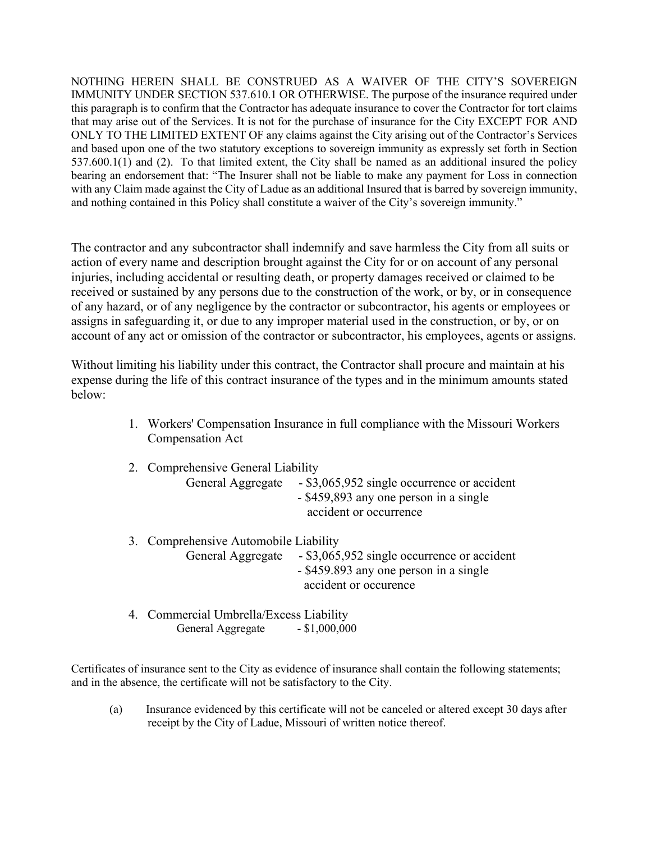NOTHING HEREIN SHALL BE CONSTRUED AS A WAIVER OF THE CITY'S SOVEREIGN IMMUNITY UNDER SECTION 537.610.1 OR OTHERWISE. The purpose of the insurance required under this paragraph is to confirm that the Contractor has adequate insurance to cover the Contractor for tort claims that may arise out of the Services. It is not for the purchase of insurance for the City EXCEPT FOR AND ONLY TO THE LIMITED EXTENT OF any claims against the City arising out of the Contractor's Services and based upon one of the two statutory exceptions to sovereign immunity as expressly set forth in Section 537.600.1(1) and (2). To that limited extent, the City shall be named as an additional insured the policy bearing an endorsement that: "The Insurer shall not be liable to make any payment for Loss in connection with any Claim made against the City of Ladue as an additional Insured that is barred by sovereign immunity, and nothing contained in this Policy shall constitute a waiver of the City's sovereign immunity."

The contractor and any subcontractor shall indemnify and save harmless the City from all suits or action of every name and description brought against the City for or on account of any personal injuries, including accidental or resulting death, or property damages received or claimed to be received or sustained by any persons due to the construction of the work, or by, or in consequence of any hazard, or of any negligence by the contractor or subcontractor, his agents or employees or assigns in safeguarding it, or due to any improper material used in the construction, or by, or on account of any act or omission of the contractor or subcontractor, his employees, agents or assigns.

Without limiting his liability under this contract, the Contractor shall procure and maintain at his expense during the life of this contract insurance of the types and in the minimum amounts stated below:

- 1. Workers' Compensation Insurance in full compliance with the Missouri Workers Compensation Act
- 2. Comprehensive General Liability General Aggregate - \$3,065,952 single occurrence or accident - \$459,893 any one person in a single accident or occurrence
- 3. Comprehensive Automobile Liability General Aggregate - \$3,065,952 single occurrence or accident - \$459.893 any one person in a single accident or occurence
- 4. Commercial Umbrella/Excess Liability General Aggregate - \$1,000,000

Certificates of insurance sent to the City as evidence of insurance shall contain the following statements; and in the absence, the certificate will not be satisfactory to the City.

(a) Insurance evidenced by this certificate will not be canceled or altered except 30 days after receipt by the City of Ladue, Missouri of written notice thereof.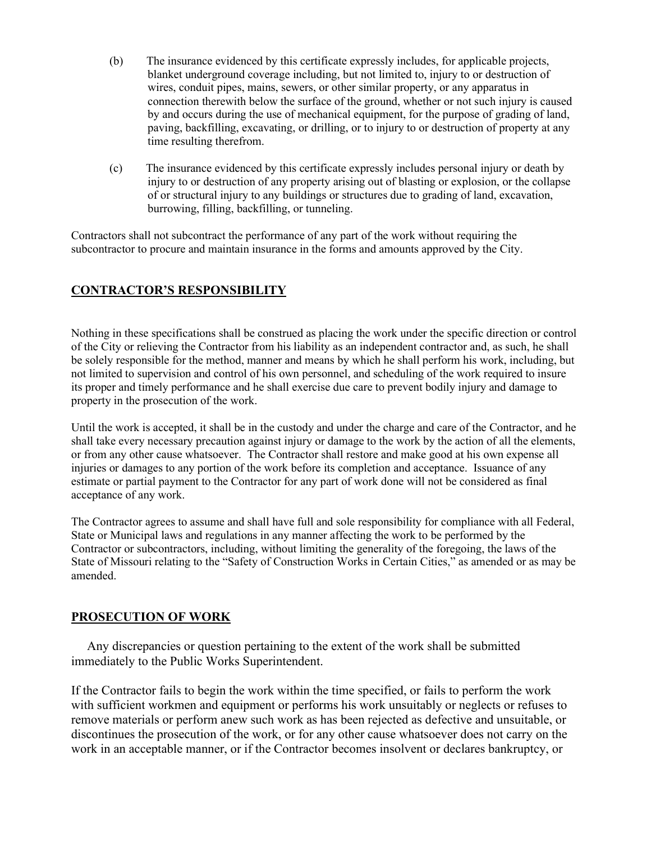- (b) The insurance evidenced by this certificate expressly includes, for applicable projects, blanket underground coverage including, but not limited to, injury to or destruction of wires, conduit pipes, mains, sewers, or other similar property, or any apparatus in connection therewith below the surface of the ground, whether or not such injury is caused by and occurs during the use of mechanical equipment, for the purpose of grading of land, paving, backfilling, excavating, or drilling, or to injury to or destruction of property at any time resulting therefrom.
- (c) The insurance evidenced by this certificate expressly includes personal injury or death by injury to or destruction of any property arising out of blasting or explosion, or the collapse of or structural injury to any buildings or structures due to grading of land, excavation, burrowing, filling, backfilling, or tunneling.

Contractors shall not subcontract the performance of any part of the work without requiring the subcontractor to procure and maintain insurance in the forms and amounts approved by the City.

# **CONTRACTOR'S RESPONSIBILITY**

Nothing in these specifications shall be construed as placing the work under the specific direction or control of the City or relieving the Contractor from his liability as an independent contractor and, as such, he shall be solely responsible for the method, manner and means by which he shall perform his work, including, but not limited to supervision and control of his own personnel, and scheduling of the work required to insure its proper and timely performance and he shall exercise due care to prevent bodily injury and damage to property in the prosecution of the work.

Until the work is accepted, it shall be in the custody and under the charge and care of the Contractor, and he shall take every necessary precaution against injury or damage to the work by the action of all the elements, or from any other cause whatsoever. The Contractor shall restore and make good at his own expense all injuries or damages to any portion of the work before its completion and acceptance. Issuance of any estimate or partial payment to the Contractor for any part of work done will not be considered as final acceptance of any work.

The Contractor agrees to assume and shall have full and sole responsibility for compliance with all Federal, State or Municipal laws and regulations in any manner affecting the work to be performed by the Contractor or subcontractors, including, without limiting the generality of the foregoing, the laws of the State of Missouri relating to the "Safety of Construction Works in Certain Cities," as amended or as may be amended.

# **PROSECUTION OF WORK**

 Any discrepancies or question pertaining to the extent of the work shall be submitted immediately to the Public Works Superintendent.

If the Contractor fails to begin the work within the time specified, or fails to perform the work with sufficient workmen and equipment or performs his work unsuitably or neglects or refuses to remove materials or perform anew such work as has been rejected as defective and unsuitable, or discontinues the prosecution of the work, or for any other cause whatsoever does not carry on the work in an acceptable manner, or if the Contractor becomes insolvent or declares bankruptcy, or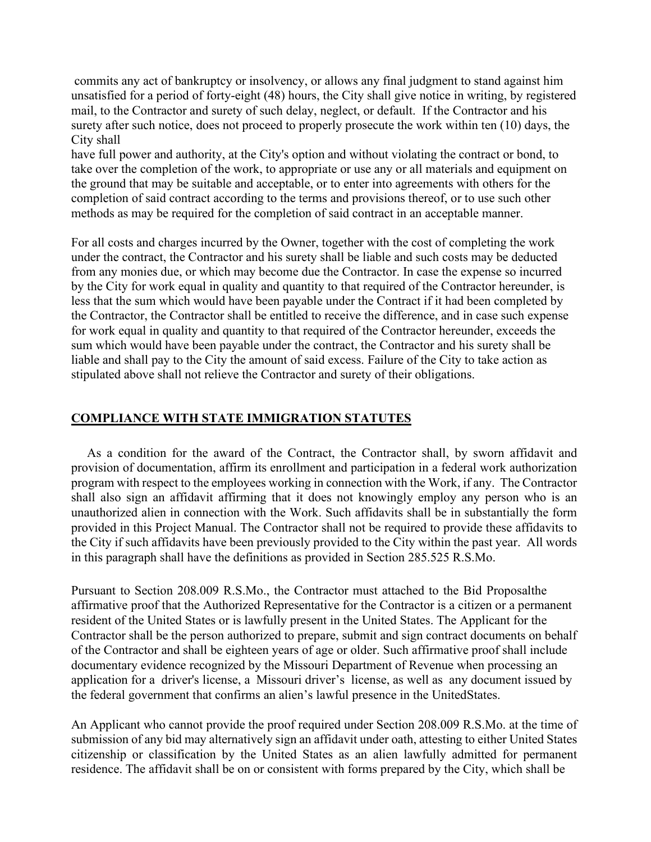commits any act of bankruptcy or insolvency, or allows any final judgment to stand against him unsatisfied for a period of forty-eight (48) hours, the City shall give notice in writing, by registered mail, to the Contractor and surety of such delay, neglect, or default. If the Contractor and his surety after such notice, does not proceed to properly prosecute the work within ten (10) days, the City shall

have full power and authority, at the City's option and without violating the contract or bond, to take over the completion of the work, to appropriate or use any or all materials and equipment on the ground that may be suitable and acceptable, or to enter into agreements with others for the completion of said contract according to the terms and provisions thereof, or to use such other methods as may be required for the completion of said contract in an acceptable manner.

For all costs and charges incurred by the Owner, together with the cost of completing the work under the contract, the Contractor and his surety shall be liable and such costs may be deducted from any monies due, or which may become due the Contractor. In case the expense so incurred by the City for work equal in quality and quantity to that required of the Contractor hereunder, is less that the sum which would have been payable under the Contract if it had been completed by the Contractor, the Contractor shall be entitled to receive the difference, and in case such expense for work equal in quality and quantity to that required of the Contractor hereunder, exceeds the sum which would have been payable under the contract, the Contractor and his surety shall be liable and shall pay to the City the amount of said excess. Failure of the City to take action as stipulated above shall not relieve the Contractor and surety of their obligations.

## **COMPLIANCE WITH STATE IMMIGRATION STATUTES**

 As a condition for the award of the Contract, the Contractor shall, by sworn affidavit and provision of documentation, affirm its enrollment and participation in a federal work authorization program with respect to the employees working in connection with the Work, if any. The Contractor shall also sign an affidavit affirming that it does not knowingly employ any person who is an unauthorized alien in connection with the Work. Such affidavits shall be in substantially the form provided in this Project Manual. The Contractor shall not be required to provide these affidavits to the City if such affidavits have been previously provided to the City within the past year. All words in this paragraph shall have the definitions as provided in Section 285.525 R.S.Mo.

Pursuant to Section 208.009 R.S.Mo., the Contractor must attached to the Bid Proposalthe affirmative proof that the Authorized Representative for the Contractor is a citizen or a permanent resident of the United States or is lawfully present in the United States. The Applicant for the Contractor shall be the person authorized to prepare, submit and sign contract documents on behalf of the Contractor and shall be eighteen years of age or older. Such affirmative proof shall include documentary evidence recognized by the Missouri Department of Revenue when processing an application for a driver's license, a Missouri driver's license, as well as any document issued by the federal government that confirms an alien's lawful presence in the UnitedStates.

An Applicant who cannot provide the proof required under Section 208.009 R.S.Mo. at the time of submission of any bid may alternatively sign an affidavit under oath, attesting to either United States citizenship or classification by the United States as an alien lawfully admitted for permanent residence. The affidavit shall be on or consistent with forms prepared by the City, which shall be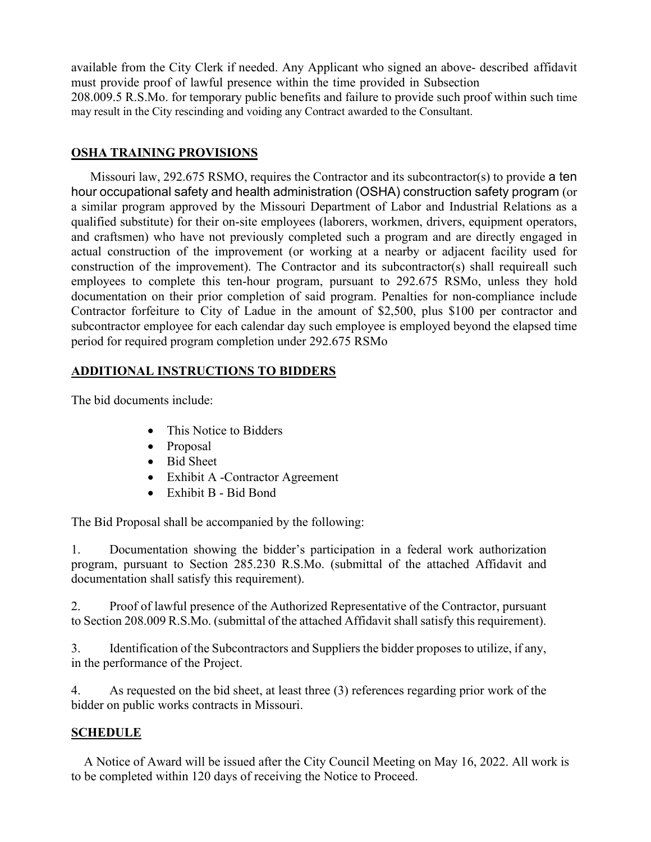available from the City Clerk if needed. Any Applicant who signed an above- described affidavit must provide proof of lawful presence within the time provided in Subsection 208.009.5 R.S.Mo. for temporary public benefits and failure to provide such proof within such time may result in the City rescinding and voiding any Contract awarded to the Consultant.

## **OSHA TRAINING PROVISIONS**

 Missouri law, 292.675 RSMO, requires the Contractor and its subcontractor(s) to provide a ten hour occupational safety and health administration (OSHA) construction safety program (or a similar program approved by the Missouri Department of Labor and Industrial Relations as a qualified substitute) for their on-site employees (laborers, workmen, drivers, equipment operators, and craftsmen) who have not previously completed such a program and are directly engaged in actual construction of the improvement (or working at a nearby or adjacent facility used for construction of the improvement). The Contractor and its subcontractor(s) shall requireall such employees to complete this ten-hour program, pursuant to 292.675 RSMo, unless they hold documentation on their prior completion of said program. Penalties for non-compliance include Contractor forfeiture to City of Ladue in the amount of \$2,500, plus \$100 per contractor and subcontractor employee for each calendar day such employee is employed beyond the elapsed time period for required program completion under 292.675 RSMo

# **ADDITIONAL INSTRUCTIONS TO BIDDERS**

The bid documents include:

- This Notice to Bidders
- Proposal
- Bid Sheet
- Exhibit A -Contractor Agreement
- Exhibit B Bid Bond

The Bid Proposal shall be accompanied by the following:

1. Documentation showing the bidder's participation in a federal work authorization program, pursuant to Section 285.230 R.S.Mo. (submittal of the attached Affidavit and documentation shall satisfy this requirement).

2. Proof of lawful presence of the Authorized Representative of the Contractor, pursuant to Section 208.009 R.S.Mo. (submittal of the attached Affidavit shall satisfy this requirement).

3. Identification of the Subcontractors and Suppliers the bidder proposes to utilize, if any, in the performance of the Project.

4. As requested on the bid sheet, at least three (3) references regarding prior work of the bidder on public works contracts in Missouri.

# **SCHEDULE**

 A Notice of Award will be issued after the City Council Meeting on May 16, 2022. All work is to be completed within 120 days of receiving the Notice to Proceed.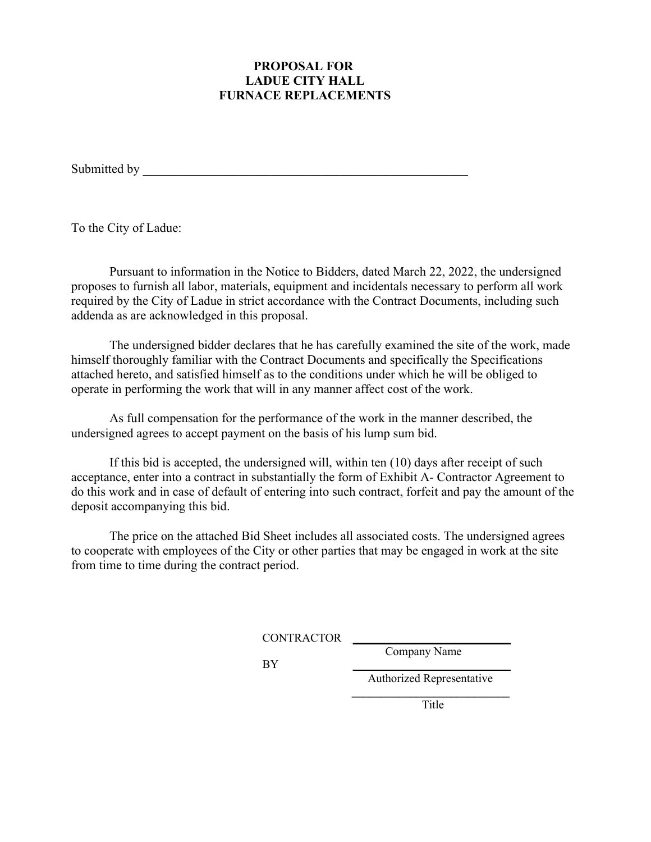## **PROPOSAL FOR LADUE CITY HALL FURNACE REPLACEMENTS**

Submitted by

To the City of Ladue:

Pursuant to information in the Notice to Bidders, dated March 22, 2022, the undersigned proposes to furnish all labor, materials, equipment and incidentals necessary to perform all work required by the City of Ladue in strict accordance with the Contract Documents, including such addenda as are acknowledged in this proposal.

The undersigned bidder declares that he has carefully examined the site of the work, made himself thoroughly familiar with the Contract Documents and specifically the Specifications attached hereto, and satisfied himself as to the conditions under which he will be obliged to operate in performing the work that will in any manner affect cost of the work.

As full compensation for the performance of the work in the manner described, the undersigned agrees to accept payment on the basis of his lump sum bid.

If this bid is accepted, the undersigned will, within ten (10) days after receipt of such acceptance, enter into a contract in substantially the form of Exhibit A- Contractor Agreement to do this work and in case of default of entering into such contract, forfeit and pay the amount of the deposit accompanying this bid.

The price on the attached Bid Sheet includes all associated costs. The undersigned agrees to cooperate with employees of the City or other parties that may be engaged in work at the site from time to time during the contract period.

CONTRACTOR **\_\_\_\_\_\_\_\_\_\_\_\_\_\_\_\_\_\_\_\_\_\_\_\_\_\_\_**

Company Name

BY **\_\_\_\_\_\_\_\_\_\_\_\_\_\_\_\_\_\_\_\_\_\_\_\_\_\_\_** Authorized Representative

 **\_\_\_\_\_\_\_\_\_\_\_\_\_\_\_\_\_\_\_\_\_\_\_\_\_\_\_ Title**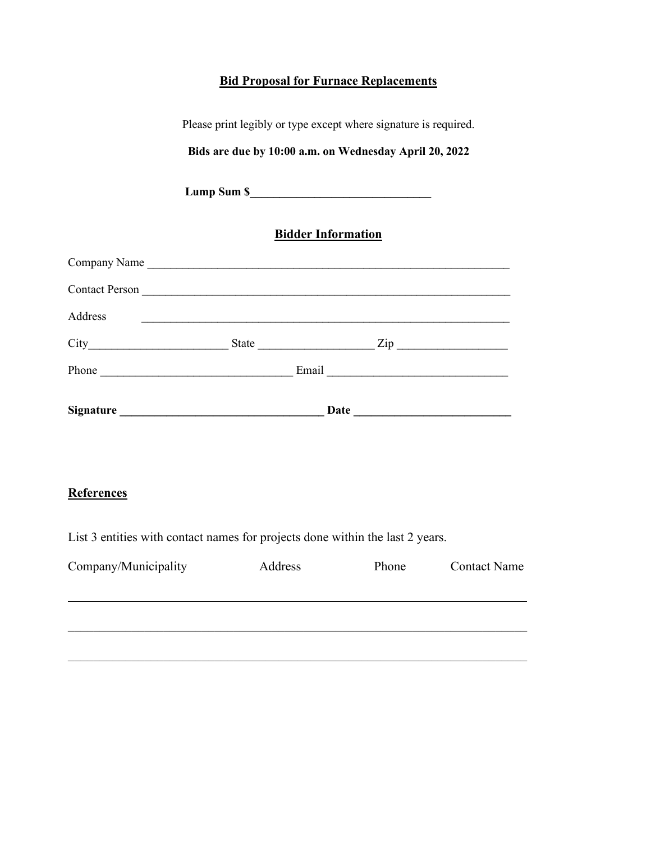# **Bid Proposal for Furnace Replacements**

| Please print legibly or type except where signature is required. |                           |                                    |  |  |  |
|------------------------------------------------------------------|---------------------------|------------------------------------|--|--|--|
| Bids are due by 10:00 a.m. on Wednesday April 20, 2022           |                           |                                    |  |  |  |
|                                                                  |                           |                                    |  |  |  |
|                                                                  | <b>Bidder Information</b> |                                    |  |  |  |
|                                                                  |                           |                                    |  |  |  |
|                                                                  |                           |                                    |  |  |  |
| Address                                                          |                           |                                    |  |  |  |
|                                                                  |                           | $City$ $City$ $State$ $Line$ $Zip$ |  |  |  |
|                                                                  |                           |                                    |  |  |  |
|                                                                  |                           |                                    |  |  |  |

# **References**

List 3 entities with contact names for projects done within the last 2 years.

| Company/Municipality | Address | Phone | <b>Contact Name</b> |
|----------------------|---------|-------|---------------------|
|                      |         |       |                     |
|                      |         |       |                     |
|                      |         |       |                     |
|                      |         |       |                     |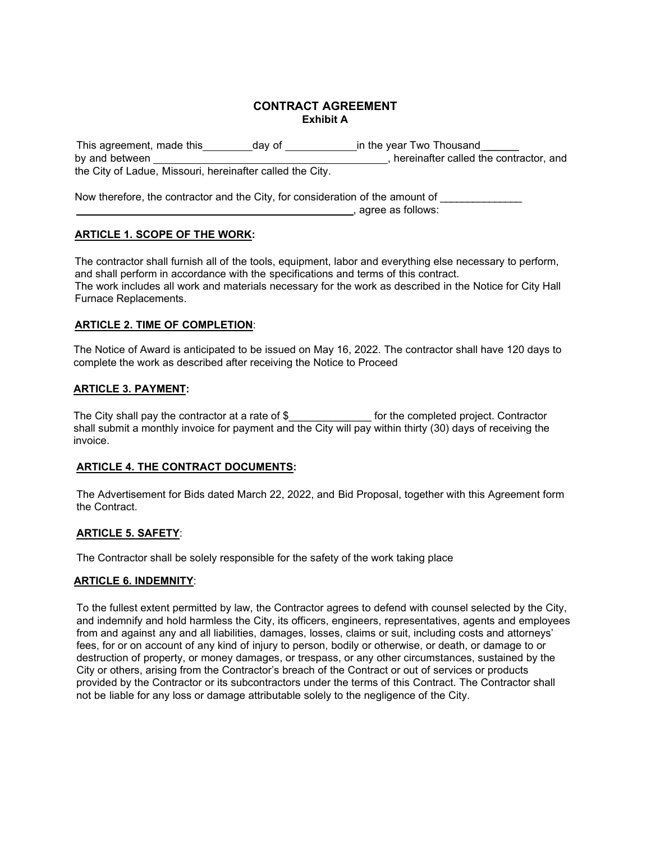### **CONTRACT AGREEMENT Exhibit A**

| This agreement, made this                                 | dav of | in the year Two Thousand               |
|-----------------------------------------------------------|--------|----------------------------------------|
| by and between                                            |        | hereinafter called the contractor, and |
| the City of Ladue, Missouri, hereinafter called the City. |        |                                        |
|                                                           |        |                                        |

Now therefore, the contractor and the City, for consideration of the amount of , agree as follows:

## **ARTICLE 1. SCOPE OF THE WORK:**

The contractor shall furnish all of the tools, equipment, labor and everything else necessary to perform, and shall perform in accordance with the specifications and terms of this contract. The work includes all work and materials necessary for the work as described in the Notice for City Hall Furnace Replacements.

### **ARTICLE 2. TIME OF COMPLETION**:

The Notice of Award is anticipated to be issued on May 16, 2022. The contractor shall have 120 days to complete the work as described after receiving the Notice to Proceed

## **ARTICLE 3. PAYMENT:**

The City shall pay the contractor at a rate of \$\_\_\_\_\_\_\_\_\_\_\_\_\_\_ for the completed project. Contractor shall submit a monthly invoice for payment and the City will pay within thirty (30) days of receiving the invoice.

### **ARTICLE 4. THE CONTRACT DOCUMENTS:**

The Advertisement for Bids dated March 22, 2022, and Bid Proposal, together with this Agreement form the Contract.

## **ARTICLE 5. SAFETY**:

The Contractor shall be solely responsible for the safety of the work taking place

### **ARTICLE 6. INDEMNITY**:

To the fullest extent permitted by law, the Contractor agrees to defend with counsel selected by the City, and indemnify and hold harmless the City, its officers, engineers, representatives, agents and employees from and against any and all liabilities, damages, losses, claims or suit, including costs and attorneys' fees, for or on account of any kind of injury to person, bodily or otherwise, or death, or damage to or destruction of property, or money damages, or trespass, or any other circumstances, sustained by the City or others, arising from the Contractor's breach of the Contract or out of services or products provided by the Contractor or its subcontractors under the terms of this Contract. The Contractor shall not be liable for any loss or damage attributable solely to the negligence of the City.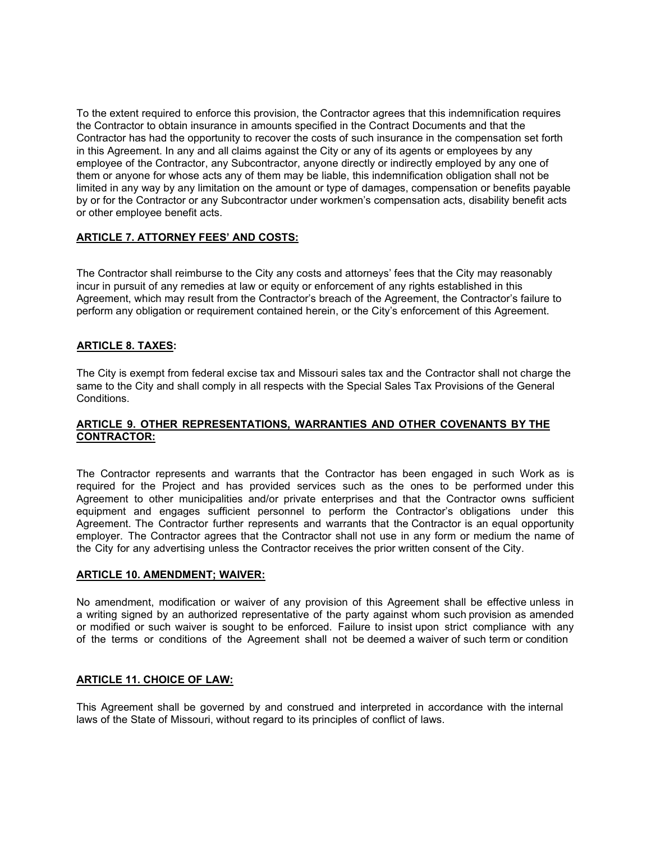To the extent required to enforce this provision, the Contractor agrees that this indemnification requires the Contractor to obtain insurance in amounts specified in the Contract Documents and that the Contractor has had the opportunity to recover the costs of such insurance in the compensation set forth in this Agreement. In any and all claims against the City or any of its agents or employees by any employee of the Contractor, any Subcontractor, anyone directly or indirectly employed by any one of them or anyone for whose acts any of them may be liable, this indemnification obligation shall not be limited in any way by any limitation on the amount or type of damages, compensation or benefits payable by or for the Contractor or any Subcontractor under workmen's compensation acts, disability benefit acts or other employee benefit acts.

#### **ARTICLE 7. ATTORNEY FEES' AND COSTS:**

The Contractor shall reimburse to the City any costs and attorneys' fees that the City may reasonably incur in pursuit of any remedies at law or equity or enforcement of any rights established in this Agreement, which may result from the Contractor's breach of the Agreement, the Contractor's failure to perform any obligation or requirement contained herein, or the City's enforcement of this Agreement.

#### **ARTICLE 8. TAXES:**

The City is exempt from federal excise tax and Missouri sales tax and the Contractor shall not charge the same to the City and shall comply in all respects with the Special Sales Tax Provisions of the General Conditions.

#### **ARTICLE 9. OTHER REPRESENTATIONS, WARRANTIES AND OTHER COVENANTS BY THE CONTRACTOR:**

The Contractor represents and warrants that the Contractor has been engaged in such Work as is required for the Project and has provided services such as the ones to be performed under this Agreement to other municipalities and/or private enterprises and that the Contractor owns sufficient equipment and engages sufficient personnel to perform the Contractor's obligations under this Agreement. The Contractor further represents and warrants that the Contractor is an equal opportunity employer. The Contractor agrees that the Contractor shall not use in any form or medium the name of the City for any advertising unless the Contractor receives the prior written consent of the City.

#### **ARTICLE 10. AMENDMENT; WAIVER:**

No amendment, modification or waiver of any provision of this Agreement shall be effective unless in a writing signed by an authorized representative of the party against whom such provision as amended or modified or such waiver is sought to be enforced. Failure to insist upon strict compliance with any of the terms or conditions of the Agreement shall not be deemed a waiver of such term or condition

#### **ARTICLE 11. CHOICE OF LAW:**

This Agreement shall be governed by and construed and interpreted in accordance with the internal laws of the State of Missouri, without regard to its principles of conflict of laws.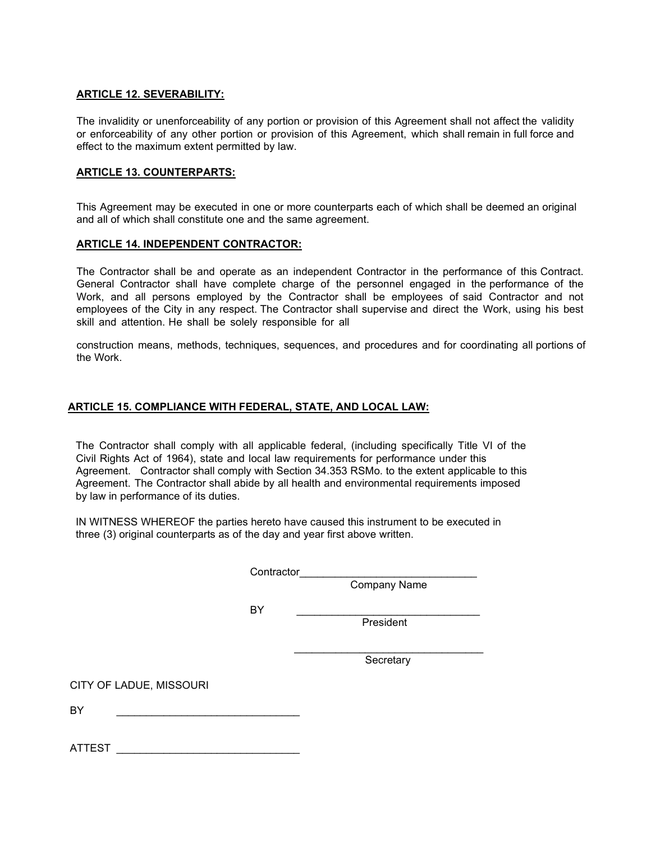#### **ARTICLE 12. SEVERABILITY:**

The invalidity or unenforceability of any portion or provision of this Agreement shall not affect the validity or enforceability of any other portion or provision of this Agreement, which shall remain in full force and effect to the maximum extent permitted by law.

#### **ARTICLE 13. COUNTERPARTS:**

This Agreement may be executed in one or more counterparts each of which shall be deemed an original and all of which shall constitute one and the same agreement.

#### **ARTICLE 14. INDEPENDENT CONTRACTOR:**

The Contractor shall be and operate as an independent Contractor in the performance of this Contract. General Contractor shall have complete charge of the personnel engaged in the performance of the Work, and all persons employed by the Contractor shall be employees of said Contractor and not employees of the City in any respect. The Contractor shall supervise and direct the Work, using his best skill and attention. He shall be solely responsible for all

construction means, methods, techniques, sequences, and procedures and for coordinating all portions of the Work.

### **ARTICLE 15. COMPLIANCE WITH FEDERAL, STATE, AND LOCAL LAW:**

 The Contractor shall comply with all applicable federal, (including specifically Title VI of the Civil Rights Act of 1964), state and local law requirements for performance under this Agreement. Contractor shall comply with Section 34.353 RSMo. to the extent applicable to this Agreement. The Contractor shall abide by all health and environmental requirements imposed by law in performance of its duties.

 IN WITNESS WHEREOF the parties hereto have caused this instrument to be executed in three (3) original counterparts as of the day and year first above written.

Contractor

 $\overline{\phantom{a}}$  , and the state of the state of the state of the state of the state of the state of the state of the state of the state of the state of the state of the state of the state of the state of the state of the stat

Company Name

BY \_\_\_\_\_\_\_\_\_\_\_\_\_\_\_\_\_\_\_\_\_\_\_\_\_\_\_\_\_\_\_

**President** (1999) and the contract of the contract of the contract of the contract of the contract of the contract of the contract of the contract of the contract of the contract of the contract of the contract of the con

Secretary

CITY OF LADUE, MISSOURI

BY \_\_\_\_\_\_\_\_\_\_\_\_\_\_\_\_\_\_\_\_\_\_\_\_\_\_\_\_\_\_\_

ATTEST  $\overline{\phantom{a}}$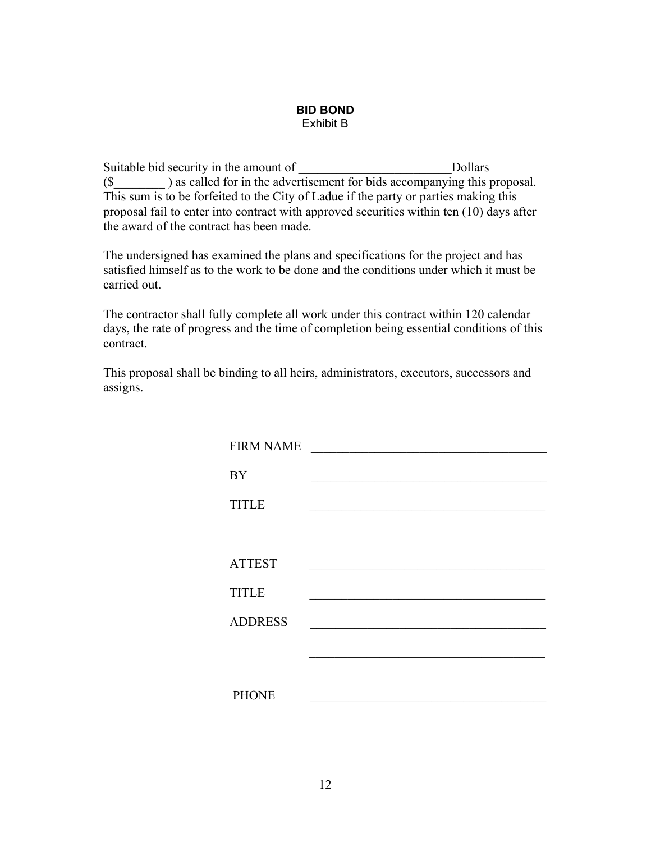#### **BID BOND** Exhibit B

Suitable bid security in the amount of \_\_\_\_\_\_\_\_\_\_\_\_\_\_\_\_\_\_\_\_\_\_\_\_\_\_\_\_\_Dollars (\$\_\_\_\_\_\_\_\_ ) as called for in the advertisement for bids accompanying this proposal. This sum is to be forfeited to the City of Ladue if the party or parties making this proposal fail to enter into contract with approved securities within ten (10) days after the award of the contract has been made.

The undersigned has examined the plans and specifications for the project and has satisfied himself as to the work to be done and the conditions under which it must be carried out.

The contractor shall fully complete all work under this contract within 120 calendar days, the rate of progress and the time of completion being essential conditions of this contract.

This proposal shall be binding to all heirs, administrators, executors, successors and assigns.

| <b>FIRM NAME</b> |  |
|------------------|--|
| <b>BY</b>        |  |
| <b>TITLE</b>     |  |
|                  |  |
| <b>ATTEST</b>    |  |
| <b>TITLE</b>     |  |
| <b>ADDRESS</b>   |  |
|                  |  |
|                  |  |
| <b>PHONE</b>     |  |